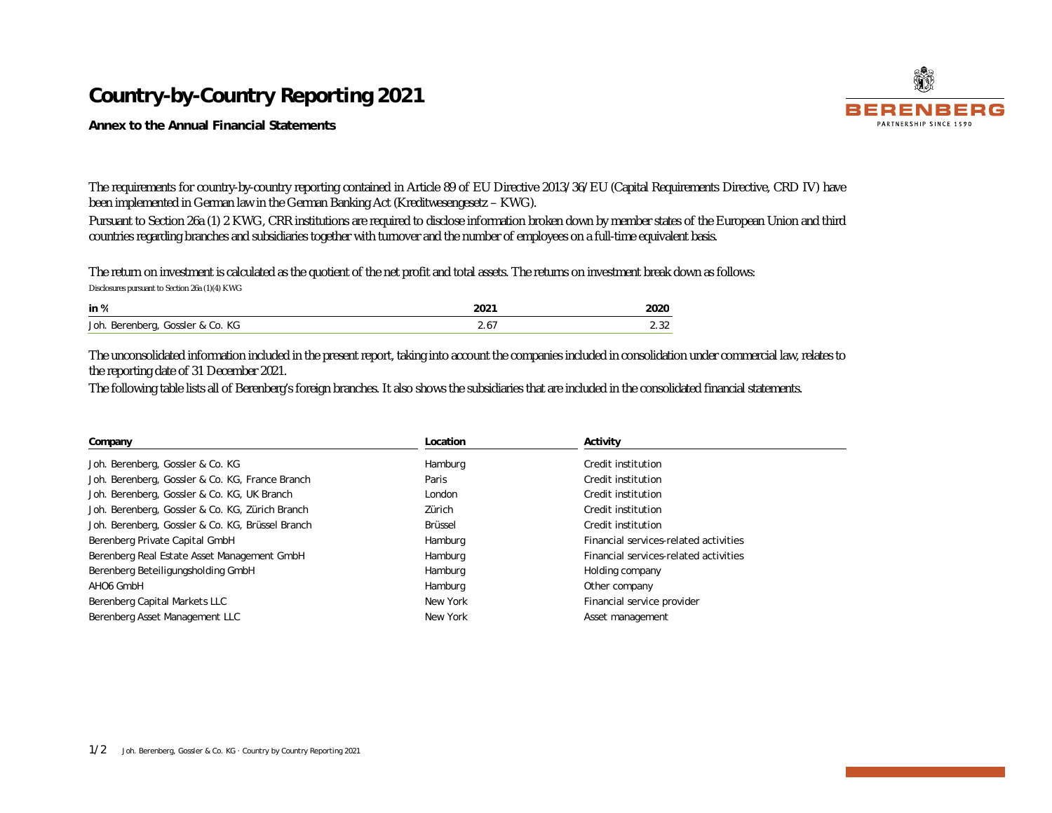## **Country-by-Country Reporting 2021**

**Annex to the Annual Financial Statements** 

The requirements for country-by-country reporting contained in Article 89 of EU Directive 2013/36/EU (Capital Requirements Directive, CRD IV) have been implemented in German law in the German Banking Act (Kreditwesengesetz – KWG).

Pursuant to Section 26a (1) 2 KWG, CRR institutions are required to disclose information broken down by member states of the European Union and third countries regarding branches and subsidiaries together with turnover and the number of employees on a full-time equivalent basis.

The return on investment is calculated as the quotient of the net profit and total assets. The returns on investment break down as follows: Disclosures pursuant to Section 26a (1)(4) KWG

| in %                             | 2021 | 2020              |
|----------------------------------|------|-------------------|
| Joh. Berenberg, Gossler & Co. KG | z.o. | $\Omega$<br>ے ن ک |

The unconsolidated information included in the present report, taking into account the companies included in consolidation under commercial law, relates to the reporting date of 31 December 2021.

The following table lists all of Berenberg's foreign branches. It also shows the subsidiaries that are included in the consolidated financial statements.

| Company                                          | Location | Activity                              |  |  |
|--------------------------------------------------|----------|---------------------------------------|--|--|
| Joh. Berenberg, Gossler & Co. KG                 | Hamburg  | Credit institution                    |  |  |
| Joh. Berenberg, Gossler & Co. KG, France Branch  | Paris    | Credit institution                    |  |  |
| Joh. Berenberg, Gossler & Co. KG, UK Branch      | London   | Credit institution                    |  |  |
| Joh. Berenberg, Gossler & Co. KG, Zürich Branch  | Zürich   | Credit institution                    |  |  |
| Joh. Berenberg, Gossler & Co. KG, Brüssel Branch | Brüssel  | Credit institution                    |  |  |
| Berenberg Private Capital GmbH                   | Hamburg  | Financial services-related activities |  |  |
| Berenberg Real Estate Asset Management GmbH      | Hamburg  | Financial services-related activities |  |  |
| Berenberg Beteiligungsholding GmbH               | Hamburg  | Holding company                       |  |  |
| AHO6 GmbH                                        | Hamburg  | Other company                         |  |  |
| Berenberg Capital Markets LLC                    | New York | Financial service provider            |  |  |
| Berenberg Asset Management LLC                   | New York | Asset management                      |  |  |